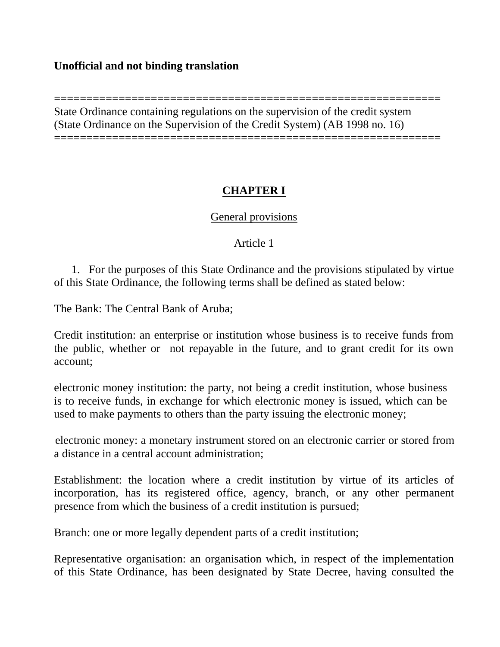## **Unofficial and not binding translation**

============================================================ State Ordinance containing regulations on the supervision of the credit system (State Ordinance on the Supervision of the Credit System) (AB 1998 no. 16) ============================================================

# **CHAPTER I**

## General provisions

## Article 1

 1. For the purposes of this State Ordinance and the provisions stipulated by virtue of this State Ordinance, the following terms shall be defined as stated below:

The Bank: The Central Bank of Aruba;

Credit institution: an enterprise or institution whose business is to receive funds from the public, whether or not repayable in the future, and to grant credit for its own account;

electronic money institution: the party, not being a credit institution, whose business is to receive funds, in exchange for which electronic money is issued, which can be used to make payments to others than the party issuing the electronic money;

electronic money: a monetary instrument stored on an electronic carrier or stored from a distance in a central account administration;

Establishment: the location where a credit institution by virtue of its articles of incorporation, has its registered office, agency, branch, or any other permanent presence from which the business of a credit institution is pursued;

Branch: one or more legally dependent parts of a credit institution;

Representative organisation: an organisation which, in respect of the implementation of this State Ordinance, has been designated by State Decree, having consulted the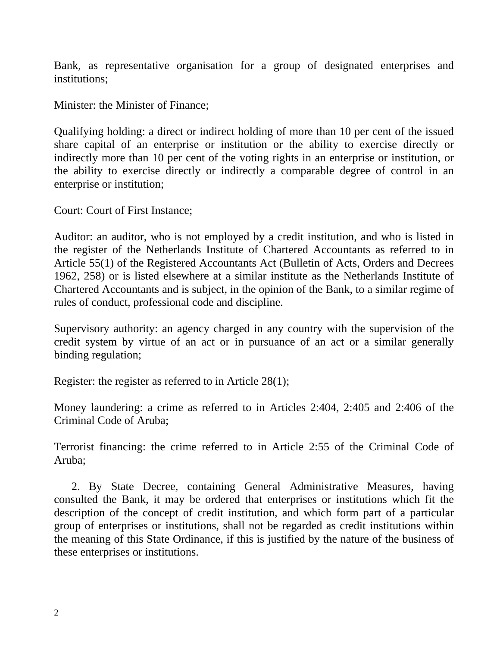Bank, as representative organisation for a group of designated enterprises and institutions;

Minister: the Minister of Finance;

Qualifying holding: a direct or indirect holding of more than 10 per cent of the issued share capital of an enterprise or institution or the ability to exercise directly or indirectly more than 10 per cent of the voting rights in an enterprise or institution, or the ability to exercise directly or indirectly a comparable degree of control in an enterprise or institution;

Court: Court of First Instance;

Auditor: an auditor, who is not employed by a credit institution, and who is listed in the register of the Netherlands Institute of Chartered Accountants as referred to in Article 55(1) of the Registered Accountants Act (Bulletin of Acts, Orders and Decrees 1962, 258) or is listed elsewhere at a similar institute as the Netherlands Institute of Chartered Accountants and is subject, in the opinion of the Bank, to a similar regime of rules of conduct, professional code and discipline.

Supervisory authority: an agency charged in any country with the supervision of the credit system by virtue of an act or in pursuance of an act or a similar generally binding regulation;

Register: the register as referred to in Article 28(1);

Money laundering: a crime as referred to in Articles 2:404, 2:405 and 2:406 of the Criminal Code of Aruba;

Terrorist financing: the crime referred to in Article 2:55 of the Criminal Code of Aruba;

 2. By State Decree, containing General Administrative Measures, having consulted the Bank, it may be ordered that enterprises or institutions which fit the description of the concept of credit institution, and which form part of a particular group of enterprises or institutions, shall not be regarded as credit institutions within the meaning of this State Ordinance, if this is justified by the nature of the business of these enterprises or institutions.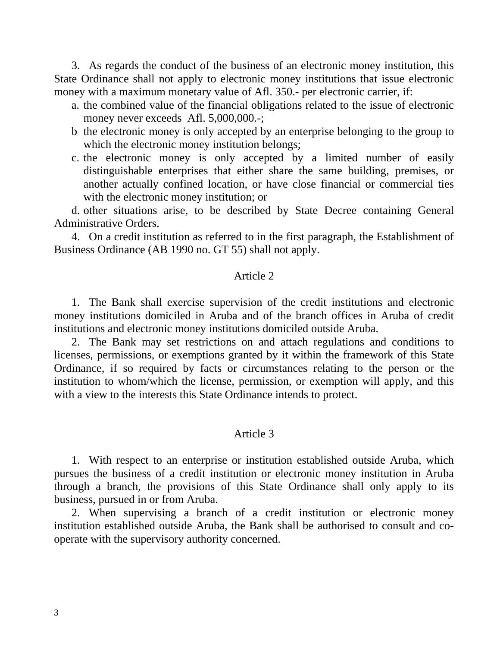3. As regards the conduct of the business of an electronic money institution, this State Ordinance shall not apply to electronic money institutions that issue electronic money with a maximum monetary value of Afl. 350.- per electronic carrier, if:

- a. the combined value of the financial obligations related to the issue of electronic money never exceeds Afl. 5,000,000.-;
- b the electronic money is only accepted by an enterprise belonging to the group to which the electronic money institution belongs;
- c. the electronic money is only accepted by a limited number of easily distinguishable enterprises that either share the same building, premises, or another actually confined location, or have close financial or commercial ties with the electronic money institution; or

 d. other situations arise, to be described by State Decree containing General Administrative Orders.

 4. On a credit institution as referred to in the first paragraph, the Establishment of Business Ordinance (AB 1990 no. GT 55) shall not apply.

### Article 2

 1. The Bank shall exercise supervision of the credit institutions and electronic money institutions domiciled in Aruba and of the branch offices in Aruba of credit institutions and electronic money institutions domiciled outside Aruba.

 2. The Bank may set restrictions on and attach regulations and conditions to licenses, permissions, or exemptions granted by it within the framework of this State Ordinance, if so required by facts or circumstances relating to the person or the institution to whom/which the license, permission, or exemption will apply, and this with a view to the interests this State Ordinance intends to protect.

#### Article 3

 1. With respect to an enterprise or institution established outside Aruba, which pursues the business of a credit institution or electronic money institution in Aruba through a branch, the provisions of this State Ordinance shall only apply to its business, pursued in or from Aruba.

 2. When supervising a branch of a credit institution or electronic money institution established outside Aruba, the Bank shall be authorised to consult and cooperate with the supervisory authority concerned.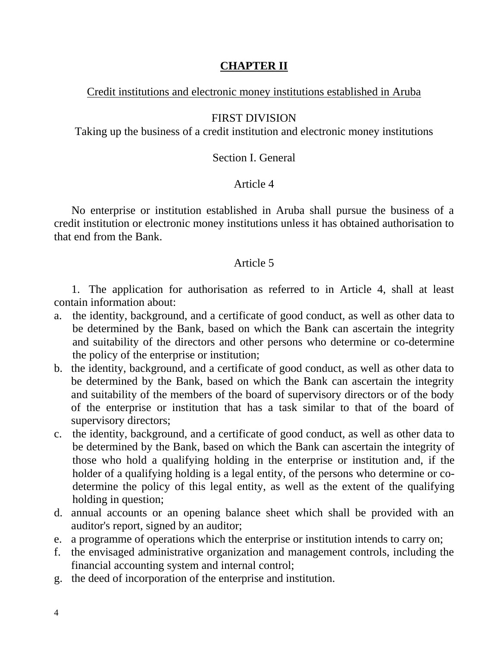# **CHAPTER II**

## Credit institutions and electronic money institutions established in Aruba

## FIRST DIVISION

Taking up the business of a credit institution and electronic money institutions

### Section I. General

## Article 4

 No enterprise or institution established in Aruba shall pursue the business of a credit institution or electronic money institutions unless it has obtained authorisation to that end from the Bank.

### Article 5

 1. The application for authorisation as referred to in Article 4, shall at least contain information about:

- a. the identity, background, and a certificate of good conduct, as well as other data to be determined by the Bank, based on which the Bank can ascertain the integrity and suitability of the directors and other persons who determine or co-determine the policy of the enterprise or institution;
- b. the identity, background, and a certificate of good conduct, as well as other data to be determined by the Bank, based on which the Bank can ascertain the integrity and suitability of the members of the board of supervisory directors or of the body of the enterprise or institution that has a task similar to that of the board of supervisory directors;
- c. the identity, background, and a certificate of good conduct, as well as other data to be determined by the Bank, based on which the Bank can ascertain the integrity of those who hold a qualifying holding in the enterprise or institution and, if the holder of a qualifying holding is a legal entity, of the persons who determine or codetermine the policy of this legal entity, as well as the extent of the qualifying holding in question;
- d. annual accounts or an opening balance sheet which shall be provided with an auditor's report, signed by an auditor;
- e. a programme of operations which the enterprise or institution intends to carry on;
- f. the envisaged administrative organization and management controls, including the financial accounting system and internal control;
- g. the deed of incorporation of the enterprise and institution.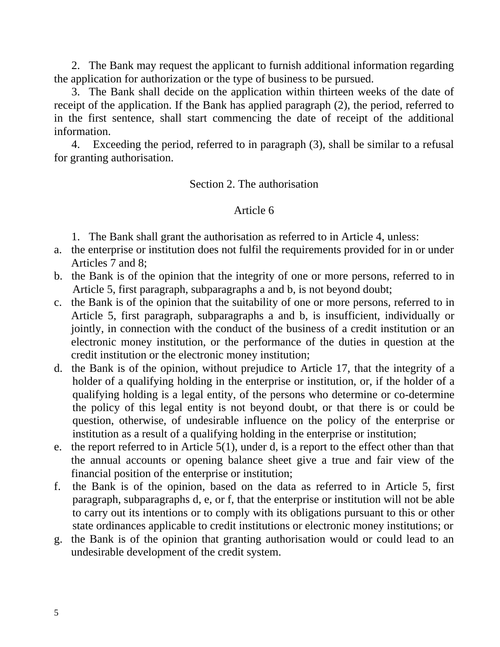2. The Bank may request the applicant to furnish additional information regarding the application for authorization or the type of business to be pursued.

 3. The Bank shall decide on the application within thirteen weeks of the date of receipt of the application. If the Bank has applied paragraph (2), the period, referred to in the first sentence, shall start commencing the date of receipt of the additional information.

 4. Exceeding the period, referred to in paragraph (3), shall be similar to a refusal for granting authorisation.

Section 2. The authorisation

## Article 6

1. The Bank shall grant the authorisation as referred to in Article 4, unless:

- a. the enterprise or institution does not fulfil the requirements provided for in or under Articles 7 and 8;
- b. the Bank is of the opinion that the integrity of one or more persons, referred to in Article 5, first paragraph, subparagraphs a and b, is not beyond doubt;
- c. the Bank is of the opinion that the suitability of one or more persons, referred to in Article 5, first paragraph, subparagraphs a and b, is insufficient, individually or jointly, in connection with the conduct of the business of a credit institution or an electronic money institution, or the performance of the duties in question at the credit institution or the electronic money institution;
- d. the Bank is of the opinion, without prejudice to Article 17, that the integrity of a holder of a qualifying holding in the enterprise or institution, or, if the holder of a qualifying holding is a legal entity, of the persons who determine or co-determine the policy of this legal entity is not beyond doubt, or that there is or could be question, otherwise, of undesirable influence on the policy of the enterprise or institution as a result of a qualifying holding in the enterprise or institution;
- e. the report referred to in Article 5(1), under d, is a report to the effect other than that the annual accounts or opening balance sheet give a true and fair view of the financial position of the enterprise or institution;
- f. the Bank is of the opinion, based on the data as referred to in Article 5, first paragraph, subparagraphs d, e, or f, that the enterprise or institution will not be able to carry out its intentions or to comply with its obligations pursuant to this or other state ordinances applicable to credit institutions or electronic money institutions; or
- g. the Bank is of the opinion that granting authorisation would or could lead to an undesirable development of the credit system.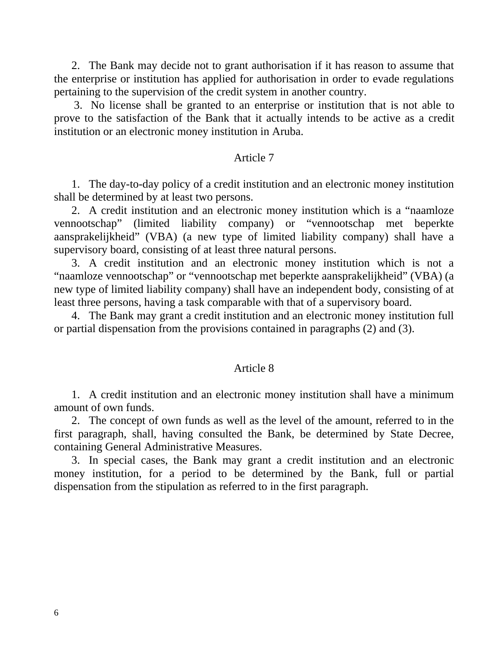2. The Bank may decide not to grant authorisation if it has reason to assume that the enterprise or institution has applied for authorisation in order to evade regulations pertaining to the supervision of the credit system in another country.

 3. No license shall be granted to an enterprise or institution that is not able to prove to the satisfaction of the Bank that it actually intends to be active as a credit institution or an electronic money institution in Aruba.

#### Article 7

 1. The day-to-day policy of a credit institution and an electronic money institution shall be determined by at least two persons.

 2. A credit institution and an electronic money institution which is a "naamloze vennootschap" (limited liability company) or "vennootschap met beperkte aansprakelijkheid" (VBA) (a new type of limited liability company) shall have a supervisory board, consisting of at least three natural persons.

 3. A credit institution and an electronic money institution which is not a "naamloze vennootschap" or "vennootschap met beperkte aansprakelijkheid" (VBA) (a new type of limited liability company) shall have an independent body, consisting of at least three persons, having a task comparable with that of a supervisory board.

 4. The Bank may grant a credit institution and an electronic money institution full or partial dispensation from the provisions contained in paragraphs (2) and (3).

#### Article 8

 1. A credit institution and an electronic money institution shall have a minimum amount of own funds.

 2. The concept of own funds as well as the level of the amount, referred to in the first paragraph, shall, having consulted the Bank, be determined by State Decree, containing General Administrative Measures.

 3. In special cases, the Bank may grant a credit institution and an electronic money institution, for a period to be determined by the Bank, full or partial dispensation from the stipulation as referred to in the first paragraph.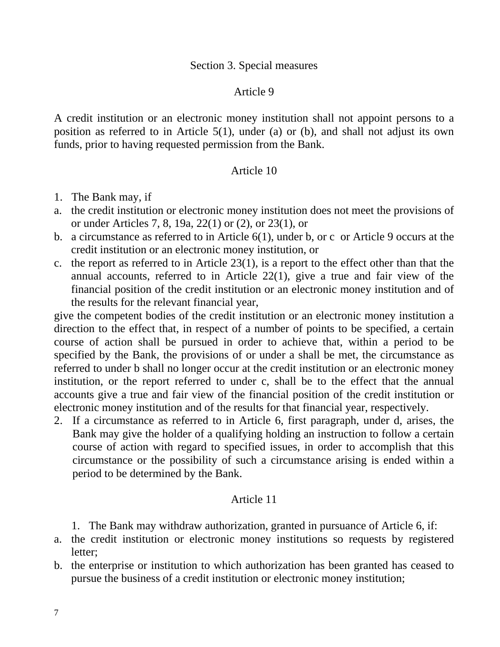## Section 3. Special measures

#### Article 9

A credit institution or an electronic money institution shall not appoint persons to a position as referred to in Article 5(1), under (a) or (b), and shall not adjust its own funds, prior to having requested permission from the Bank.

#### Article 10

- 1. The Bank may, if
- a. the credit institution or electronic money institution does not meet the provisions of or under Articles 7, 8, 19a, 22(1) or (2), or 23(1), or
- b. a circumstance as referred to in Article 6(1), under b, or c or Article 9 occurs at the credit institution or an electronic money institution, or
- c. the report as referred to in Article 23(1), is a report to the effect other than that the annual accounts, referred to in Article 22(1), give a true and fair view of the financial position of the credit institution or an electronic money institution and of the results for the relevant financial year,

give the competent bodies of the credit institution or an electronic money institution a direction to the effect that, in respect of a number of points to be specified, a certain course of action shall be pursued in order to achieve that, within a period to be specified by the Bank, the provisions of or under a shall be met, the circumstance as referred to under b shall no longer occur at the credit institution or an electronic money institution, or the report referred to under c, shall be to the effect that the annual accounts give a true and fair view of the financial position of the credit institution or electronic money institution and of the results for that financial year, respectively.

2. If a circumstance as referred to in Article 6, first paragraph, under d, arises, the Bank may give the holder of a qualifying holding an instruction to follow a certain course of action with regard to specified issues, in order to accomplish that this circumstance or the possibility of such a circumstance arising is ended within a period to be determined by the Bank.

### Article 11

- 1. The Bank may withdraw authorization, granted in pursuance of Article 6, if:
- a. the credit institution or electronic money institutions so requests by registered letter;
- b. the enterprise or institution to which authorization has been granted has ceased to pursue the business of a credit institution or electronic money institution;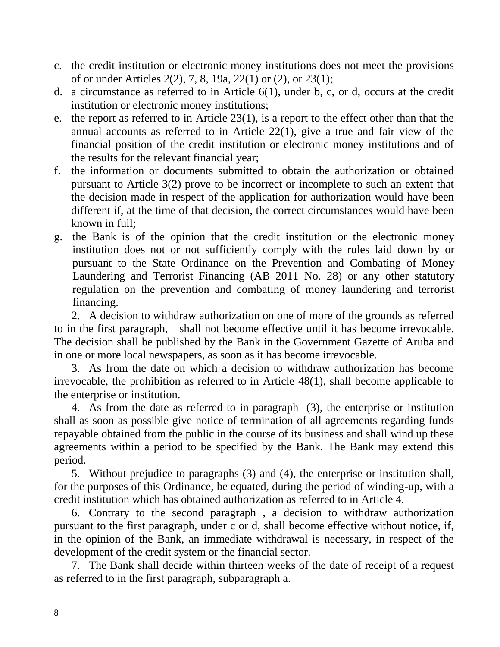- c. the credit institution or electronic money institutions does not meet the provisions of or under Articles 2(2), 7, 8, 19a, 22(1) or (2), or 23(1);
- d. a circumstance as referred to in Article 6(1), under b, c, or d, occurs at the credit institution or electronic money institutions;
- e. the report as referred to in Article 23(1), is a report to the effect other than that the annual accounts as referred to in Article 22(1), give a true and fair view of the financial position of the credit institution or electronic money institutions and of the results for the relevant financial year;
- f. the information or documents submitted to obtain the authorization or obtained pursuant to Article 3(2) prove to be incorrect or incomplete to such an extent that the decision made in respect of the application for authorization would have been different if, at the time of that decision, the correct circumstances would have been known in full;
- g. the Bank is of the opinion that the credit institution or the electronic money institution does not or not sufficiently comply with the rules laid down by or pursuant to the State Ordinance on the Prevention and Combating of Money Laundering and Terrorist Financing (AB 2011 No. 28) or any other statutory regulation on the prevention and combating of money laundering and terrorist financing.

 2. A decision to withdraw authorization on one of more of the grounds as referred to in the first paragraph, shall not become effective until it has become irrevocable. The decision shall be published by the Bank in the Government Gazette of Aruba and in one or more local newspapers, as soon as it has become irrevocable.

 3. As from the date on which a decision to withdraw authorization has become irrevocable, the prohibition as referred to in Article 48(1), shall become applicable to the enterprise or institution.

 4. As from the date as referred to in paragraph (3), the enterprise or institution shall as soon as possible give notice of termination of all agreements regarding funds repayable obtained from the public in the course of its business and shall wind up these agreements within a period to be specified by the Bank. The Bank may extend this period.

 5. Without prejudice to paragraphs (3) and (4), the enterprise or institution shall, for the purposes of this Ordinance, be equated, during the period of winding-up, with a credit institution which has obtained authorization as referred to in Article 4.

 6. Contrary to the second paragraph , a decision to withdraw authorization pursuant to the first paragraph, under c or d, shall become effective without notice, if, in the opinion of the Bank, an immediate withdrawal is necessary, in respect of the development of the credit system or the financial sector.

 7. The Bank shall decide within thirteen weeks of the date of receipt of a request as referred to in the first paragraph, subparagraph a.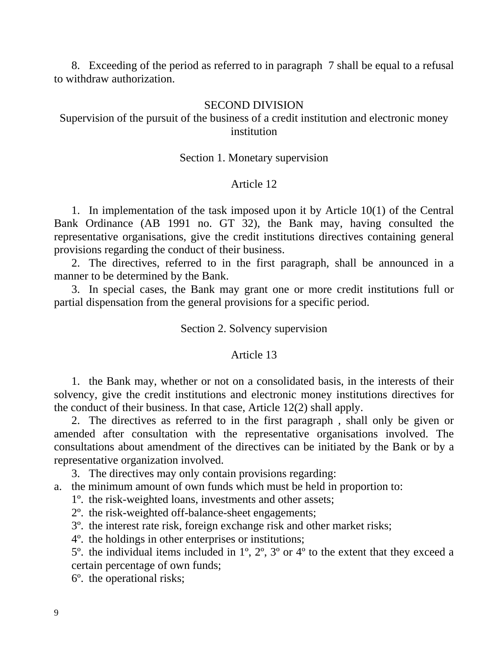8. Exceeding of the period as referred to in paragraph 7 shall be equal to a refusal to withdraw authorization.

#### SECOND DIVISION

## Supervision of the pursuit of the business of a credit institution and electronic money institution

#### Section 1. Monetary supervision

### Article 12

 1. In implementation of the task imposed upon it by Article 10(1) of the Central Bank Ordinance (AB 1991 no. GT 32), the Bank may, having consulted the representative organisations, give the credit institutions directives containing general provisions regarding the conduct of their business.

 2. The directives, referred to in the first paragraph, shall be announced in a manner to be determined by the Bank.

 3. In special cases, the Bank may grant one or more credit institutions full or partial dispensation from the general provisions for a specific period.

#### Section 2. Solvency supervision

#### Article 13

 1. the Bank may, whether or not on a consolidated basis, in the interests of their solvency, give the credit institutions and electronic money institutions directives for the conduct of their business. In that case, Article 12(2) shall apply.

 2. The directives as referred to in the first paragraph , shall only be given or amended after consultation with the representative organisations involved. The consultations about amendment of the directives can be initiated by the Bank or by a representative organization involved.

3. The directives may only contain provisions regarding:

a. the minimum amount of own funds which must be held in proportion to:

1º. the risk-weighted loans, investments and other assets;

2º. the risk-weighted off-balance-sheet engagements;

3º. the interest rate risk, foreign exchange risk and other market risks;

4º. the holdings in other enterprises or institutions;

 5º. the individual items included in 1º, 2º, 3º or 4º to the extent that they exceed a certain percentage of own funds;

6º. the operational risks;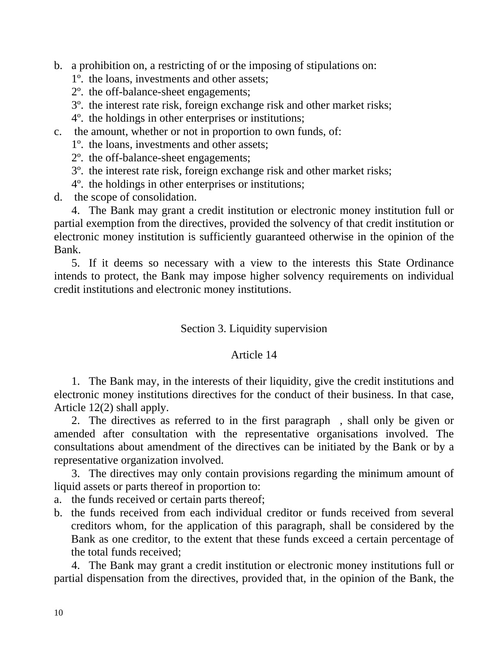b. a prohibition on, a restricting of or the imposing of stipulations on:

- 1º. the loans, investments and other assets;
- 2º. the off-balance-sheet engagements;
- 3º. the interest rate risk, foreign exchange risk and other market risks;
- 4º. the holdings in other enterprises or institutions;
- c. the amount, whether or not in proportion to own funds, of:
	- 1º. the loans, investments and other assets;
	- 2º. the off-balance-sheet engagements;
	- 3º. the interest rate risk, foreign exchange risk and other market risks;
	- 4º. the holdings in other enterprises or institutions;
- d. the scope of consolidation.

 4. The Bank may grant a credit institution or electronic money institution full or partial exemption from the directives, provided the solvency of that credit institution or electronic money institution is sufficiently guaranteed otherwise in the opinion of the Bank.

 5. If it deems so necessary with a view to the interests this State Ordinance intends to protect, the Bank may impose higher solvency requirements on individual credit institutions and electronic money institutions.

# Section 3. Liquidity supervision

# Article 14

 1. The Bank may, in the interests of their liquidity, give the credit institutions and electronic money institutions directives for the conduct of their business. In that case, Article 12(2) shall apply.

 2. The directives as referred to in the first paragraph , shall only be given or amended after consultation with the representative organisations involved. The consultations about amendment of the directives can be initiated by the Bank or by a representative organization involved.

 3. The directives may only contain provisions regarding the minimum amount of liquid assets or parts thereof in proportion to:

- a. the funds received or certain parts thereof;
- b. the funds received from each individual creditor or funds received from several creditors whom, for the application of this paragraph, shall be considered by the Bank as one creditor, to the extent that these funds exceed a certain percentage of the total funds received;

 4. The Bank may grant a credit institution or electronic money institutions full or partial dispensation from the directives, provided that, in the opinion of the Bank, the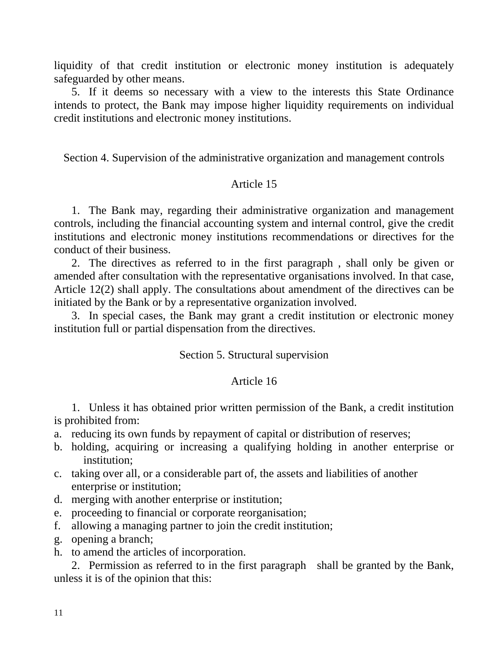liquidity of that credit institution or electronic money institution is adequately safeguarded by other means.

 5. If it deems so necessary with a view to the interests this State Ordinance intends to protect, the Bank may impose higher liquidity requirements on individual credit institutions and electronic money institutions.

Section 4. Supervision of the administrative organization and management controls

## Article 15

 1. The Bank may, regarding their administrative organization and management controls, including the financial accounting system and internal control, give the credit institutions and electronic money institutions recommendations or directives for the conduct of their business.

 2. The directives as referred to in the first paragraph , shall only be given or amended after consultation with the representative organisations involved. In that case, Article 12(2) shall apply. The consultations about amendment of the directives can be initiated by the Bank or by a representative organization involved.

 3. In special cases, the Bank may grant a credit institution or electronic money institution full or partial dispensation from the directives.

#### Section 5. Structural supervision

### Article 16

 1. Unless it has obtained prior written permission of the Bank, a credit institution is prohibited from:

- a. reducing its own funds by repayment of capital or distribution of reserves;
- b. holding, acquiring or increasing a qualifying holding in another enterprise or institution;
- c. taking over all, or a considerable part of, the assets and liabilities of another enterprise or institution;
- d. merging with another enterprise or institution;
- e. proceeding to financial or corporate reorganisation;
- f. allowing a managing partner to join the credit institution;
- g. opening a branch;
- h. to amend the articles of incorporation.

 2. Permission as referred to in the first paragraph shall be granted by the Bank, unless it is of the opinion that this: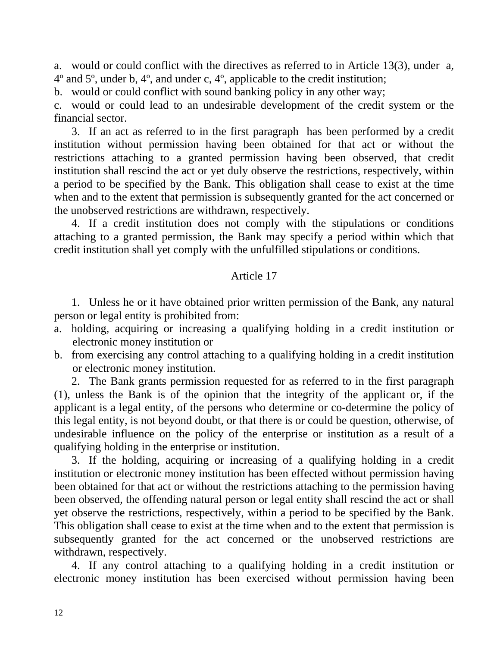a. would or could conflict with the directives as referred to in Article 13(3), under a, 4º and 5º, under b, 4º, and under c, 4º, applicable to the credit institution;

b. would or could conflict with sound banking policy in any other way;

c. would or could lead to an undesirable development of the credit system or the financial sector.

 3. If an act as referred to in the first paragraph has been performed by a credit institution without permission having been obtained for that act or without the restrictions attaching to a granted permission having been observed, that credit institution shall rescind the act or yet duly observe the restrictions, respectively, within a period to be specified by the Bank. This obligation shall cease to exist at the time when and to the extent that permission is subsequently granted for the act concerned or the unobserved restrictions are withdrawn, respectively.

 4. If a credit institution does not comply with the stipulations or conditions attaching to a granted permission, the Bank may specify a period within which that credit institution shall yet comply with the unfulfilled stipulations or conditions.

## Article 17

 1. Unless he or it have obtained prior written permission of the Bank, any natural person or legal entity is prohibited from:

- a. holding, acquiring or increasing a qualifying holding in a credit institution or electronic money institution or
- b. from exercising any control attaching to a qualifying holding in a credit institution or electronic money institution.

 2. The Bank grants permission requested for as referred to in the first paragraph (1), unless the Bank is of the opinion that the integrity of the applicant or, if the applicant is a legal entity, of the persons who determine or co-determine the policy of this legal entity, is not beyond doubt, or that there is or could be question, otherwise, of undesirable influence on the policy of the enterprise or institution as a result of a qualifying holding in the enterprise or institution.

 3. If the holding, acquiring or increasing of a qualifying holding in a credit institution or electronic money institution has been effected without permission having been obtained for that act or without the restrictions attaching to the permission having been observed, the offending natural person or legal entity shall rescind the act or shall yet observe the restrictions, respectively, within a period to be specified by the Bank. This obligation shall cease to exist at the time when and to the extent that permission is subsequently granted for the act concerned or the unobserved restrictions are withdrawn, respectively.

 4. If any control attaching to a qualifying holding in a credit institution or electronic money institution has been exercised without permission having been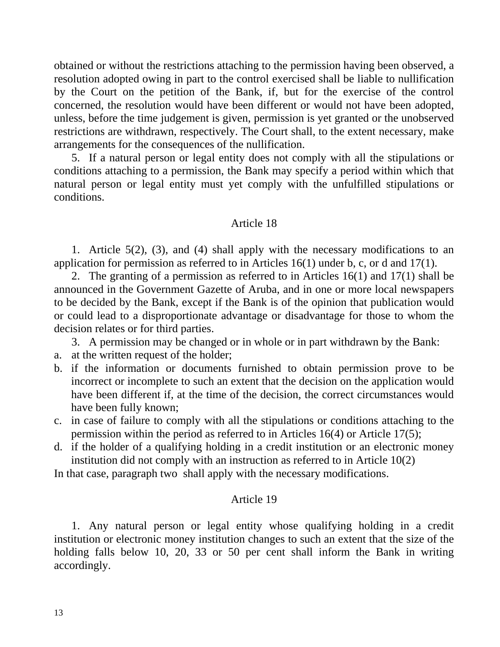obtained or without the restrictions attaching to the permission having been observed, a resolution adopted owing in part to the control exercised shall be liable to nullification by the Court on the petition of the Bank, if, but for the exercise of the control concerned, the resolution would have been different or would not have been adopted, unless, before the time judgement is given, permission is yet granted or the unobserved restrictions are withdrawn, respectively. The Court shall, to the extent necessary, make arrangements for the consequences of the nullification.

 5. If a natural person or legal entity does not comply with all the stipulations or conditions attaching to a permission, the Bank may specify a period within which that natural person or legal entity must yet comply with the unfulfilled stipulations or conditions.

#### Article 18

 1. Article 5(2), (3), and (4) shall apply with the necessary modifications to an application for permission as referred to in Articles 16(1) under b, c, or d and 17(1).

 2. The granting of a permission as referred to in Articles 16(1) and 17(1) shall be announced in the Government Gazette of Aruba, and in one or more local newspapers to be decided by the Bank, except if the Bank is of the opinion that publication would or could lead to a disproportionate advantage or disadvantage for those to whom the decision relates or for third parties.

3. A permission may be changed or in whole or in part withdrawn by the Bank:

- a. at the written request of the holder;
- b. if the information or documents furnished to obtain permission prove to be incorrect or incomplete to such an extent that the decision on the application would have been different if, at the time of the decision, the correct circumstances would have been fully known;
- c. in case of failure to comply with all the stipulations or conditions attaching to the permission within the period as referred to in Articles 16(4) or Article 17(5);
- d. if the holder of a qualifying holding in a credit institution or an electronic money institution did not comply with an instruction as referred to in Article 10(2)

In that case, paragraph two shall apply with the necessary modifications.

### Article 19

 1. Any natural person or legal entity whose qualifying holding in a credit institution or electronic money institution changes to such an extent that the size of the holding falls below 10, 20, 33 or 50 per cent shall inform the Bank in writing accordingly.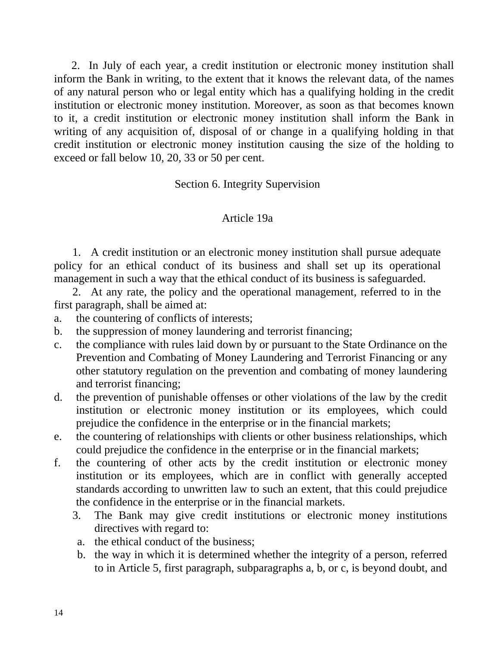2. In July of each year, a credit institution or electronic money institution shall inform the Bank in writing, to the extent that it knows the relevant data, of the names of any natural person who or legal entity which has a qualifying holding in the credit institution or electronic money institution. Moreover, as soon as that becomes known to it, a credit institution or electronic money institution shall inform the Bank in writing of any acquisition of, disposal of or change in a qualifying holding in that credit institution or electronic money institution causing the size of the holding to exceed or fall below 10, 20, 33 or 50 per cent.

Section 6. Integrity Supervision

# Article 19a

 1. A credit institution or an electronic money institution shall pursue adequate policy for an ethical conduct of its business and shall set up its operational management in such a way that the ethical conduct of its business is safeguarded.

 2. At any rate, the policy and the operational management, referred to in the first paragraph, shall be aimed at:

- a. the countering of conflicts of interests;
- b. the suppression of money laundering and terrorist financing;
- c. the compliance with rules laid down by or pursuant to the State Ordinance on the Prevention and Combating of Money Laundering and Terrorist Financing or any other statutory regulation on the prevention and combating of money laundering and terrorist financing;
- d. the prevention of punishable offenses or other violations of the law by the credit institution or electronic money institution or its employees, which could prejudice the confidence in the enterprise or in the financial markets;
- e. the countering of relationships with clients or other business relationships, which could prejudice the confidence in the enterprise or in the financial markets;
- f. the countering of other acts by the credit institution or electronic money institution or its employees, which are in conflict with generally accepted standards according to unwritten law to such an extent, that this could prejudice the confidence in the enterprise or in the financial markets.
	- 3. The Bank may give credit institutions or electronic money institutions directives with regard to:
	- a. the ethical conduct of the business;
	- b. the way in which it is determined whether the integrity of a person, referred to in Article 5, first paragraph, subparagraphs a, b, or c, is beyond doubt, and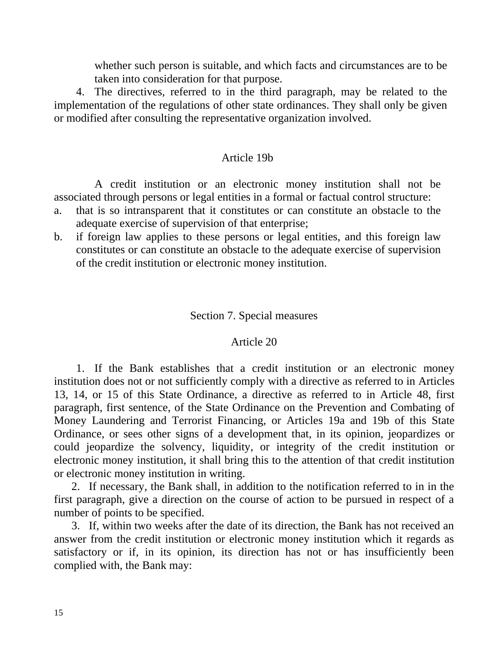whether such person is suitable, and which facts and circumstances are to be taken into consideration for that purpose.

 4. The directives, referred to in the third paragraph, may be related to the implementation of the regulations of other state ordinances. They shall only be given or modified after consulting the representative organization involved.

## Article 19b

 A credit institution or an electronic money institution shall not be associated through persons or legal entities in a formal or factual control structure:

- a. that is so intransparent that it constitutes or can constitute an obstacle to the adequate exercise of supervision of that enterprise;
- b. if foreign law applies to these persons or legal entities, and this foreign law constitutes or can constitute an obstacle to the adequate exercise of supervision of the credit institution or electronic money institution.

## Section 7. Special measures

## Article 20

 1. If the Bank establishes that a credit institution or an electronic money institution does not or not sufficiently comply with a directive as referred to in Articles 13, 14, or 15 of this State Ordinance, a directive as referred to in Article 48, first paragraph, first sentence, of the State Ordinance on the Prevention and Combating of Money Laundering and Terrorist Financing, or Articles 19a and 19b of this State Ordinance, or sees other signs of a development that, in its opinion, jeopardizes or could jeopardize the solvency, liquidity, or integrity of the credit institution or electronic money institution, it shall bring this to the attention of that credit institution or electronic money institution in writing.

 2. If necessary, the Bank shall, in addition to the notification referred to in in the first paragraph, give a direction on the course of action to be pursued in respect of a number of points to be specified.

 3. If, within two weeks after the date of its direction, the Bank has not received an answer from the credit institution or electronic money institution which it regards as satisfactory or if, in its opinion, its direction has not or has insufficiently been complied with, the Bank may: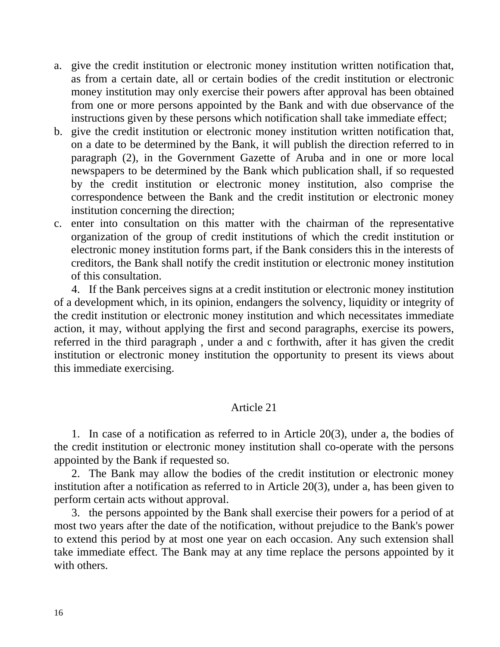- a. give the credit institution or electronic money institution written notification that, as from a certain date, all or certain bodies of the credit institution or electronic money institution may only exercise their powers after approval has been obtained from one or more persons appointed by the Bank and with due observance of the instructions given by these persons which notification shall take immediate effect;
- b. give the credit institution or electronic money institution written notification that, on a date to be determined by the Bank, it will publish the direction referred to in paragraph (2), in the Government Gazette of Aruba and in one or more local newspapers to be determined by the Bank which publication shall, if so requested by the credit institution or electronic money institution, also comprise the correspondence between the Bank and the credit institution or electronic money institution concerning the direction;
- c. enter into consultation on this matter with the chairman of the representative organization of the group of credit institutions of which the credit institution or electronic money institution forms part, if the Bank considers this in the interests of creditors, the Bank shall notify the credit institution or electronic money institution of this consultation.

 4. If the Bank perceives signs at a credit institution or electronic money institution of a development which, in its opinion, endangers the solvency, liquidity or integrity of the credit institution or electronic money institution and which necessitates immediate action, it may, without applying the first and second paragraphs, exercise its powers, referred in the third paragraph , under a and c forthwith, after it has given the credit institution or electronic money institution the opportunity to present its views about this immediate exercising.

## Article 21

 1. In case of a notification as referred to in Article 20(3), under a, the bodies of the credit institution or electronic money institution shall co-operate with the persons appointed by the Bank if requested so.

 2. The Bank may allow the bodies of the credit institution or electronic money institution after a notification as referred to in Article 20(3), under a, has been given to perform certain acts without approval.

 3. the persons appointed by the Bank shall exercise their powers for a period of at most two years after the date of the notification, without prejudice to the Bank's power to extend this period by at most one year on each occasion. Any such extension shall take immediate effect. The Bank may at any time replace the persons appointed by it with others.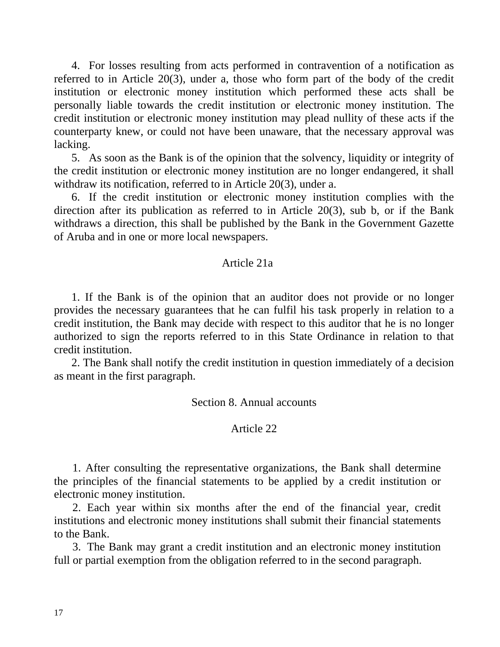4. For losses resulting from acts performed in contravention of a notification as referred to in Article 20(3), under a, those who form part of the body of the credit institution or electronic money institution which performed these acts shall be personally liable towards the credit institution or electronic money institution. The credit institution or electronic money institution may plead nullity of these acts if the counterparty knew, or could not have been unaware, that the necessary approval was lacking.

 5. As soon as the Bank is of the opinion that the solvency, liquidity or integrity of the credit institution or electronic money institution are no longer endangered, it shall withdraw its notification, referred to in Article 20(3), under a.

 6. If the credit institution or electronic money institution complies with the direction after its publication as referred to in Article 20(3), sub b, or if the Bank withdraws a direction, this shall be published by the Bank in the Government Gazette of Aruba and in one or more local newspapers.

## Article 21a

 1. If the Bank is of the opinion that an auditor does not provide or no longer provides the necessary guarantees that he can fulfil his task properly in relation to a credit institution, the Bank may decide with respect to this auditor that he is no longer authorized to sign the reports referred to in this State Ordinance in relation to that credit institution.

 2. The Bank shall notify the credit institution in question immediately of a decision as meant in the first paragraph.

Section 8. Annual accounts

#### Article 22

 1. After consulting the representative organizations, the Bank shall determine the principles of the financial statements to be applied by a credit institution or electronic money institution.

 2. Each year within six months after the end of the financial year, credit institutions and electronic money institutions shall submit their financial statements to the Bank.

 3. The Bank may grant a credit institution and an electronic money institution full or partial exemption from the obligation referred to in the second paragraph.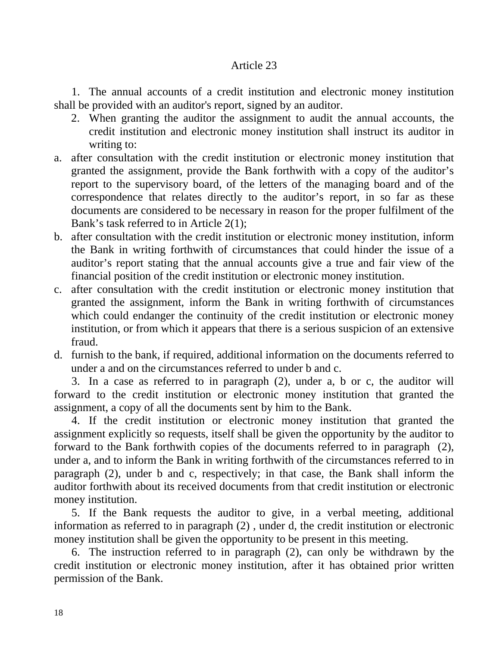## Article 23

 1. The annual accounts of a credit institution and electronic money institution shall be provided with an auditor's report, signed by an auditor.

- 2. When granting the auditor the assignment to audit the annual accounts, the credit institution and electronic money institution shall instruct its auditor in writing to:
- a. after consultation with the credit institution or electronic money institution that granted the assignment, provide the Bank forthwith with a copy of the auditor's report to the supervisory board, of the letters of the managing board and of the correspondence that relates directly to the auditor's report, in so far as these documents are considered to be necessary in reason for the proper fulfilment of the Bank's task referred to in Article 2(1);
- b. after consultation with the credit institution or electronic money institution, inform the Bank in writing forthwith of circumstances that could hinder the issue of a auditor's report stating that the annual accounts give a true and fair view of the financial position of the credit institution or electronic money institution.
- c. after consultation with the credit institution or electronic money institution that granted the assignment, inform the Bank in writing forthwith of circumstances which could endanger the continuity of the credit institution or electronic money institution, or from which it appears that there is a serious suspicion of an extensive fraud.
- d. furnish to the bank, if required, additional information on the documents referred to under a and on the circumstances referred to under b and c.

 3. In a case as referred to in paragraph (2), under a, b or c, the auditor will forward to the credit institution or electronic money institution that granted the assignment, a copy of all the documents sent by him to the Bank.

 4. If the credit institution or electronic money institution that granted the assignment explicitly so requests, itself shall be given the opportunity by the auditor to forward to the Bank forthwith copies of the documents referred to in paragraph (2), under a, and to inform the Bank in writing forthwith of the circumstances referred to in paragraph (2), under b and c, respectively; in that case, the Bank shall inform the auditor forthwith about its received documents from that credit institution or electronic money institution.

 5. If the Bank requests the auditor to give, in a verbal meeting, additional information as referred to in paragraph (2) , under d, the credit institution or electronic money institution shall be given the opportunity to be present in this meeting.

 6. The instruction referred to in paragraph (2), can only be withdrawn by the credit institution or electronic money institution, after it has obtained prior written permission of the Bank.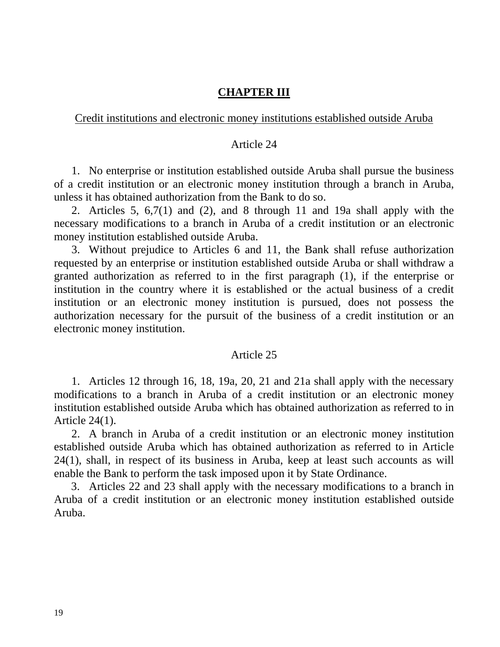## **CHAPTER III**

## Credit institutions and electronic money institutions established outside Aruba

#### Article 24

 1. No enterprise or institution established outside Aruba shall pursue the business of a credit institution or an electronic money institution through a branch in Aruba, unless it has obtained authorization from the Bank to do so.

 2. Articles 5, 6,7(1) and (2), and 8 through 11 and 19a shall apply with the necessary modifications to a branch in Aruba of a credit institution or an electronic money institution established outside Aruba.

 3. Without prejudice to Articles 6 and 11, the Bank shall refuse authorization requested by an enterprise or institution established outside Aruba or shall withdraw a granted authorization as referred to in the first paragraph (1), if the enterprise or institution in the country where it is established or the actual business of a credit institution or an electronic money institution is pursued, does not possess the authorization necessary for the pursuit of the business of a credit institution or an electronic money institution.

#### Article 25

 1. Articles 12 through 16, 18, 19a, 20, 21 and 21a shall apply with the necessary modifications to a branch in Aruba of a credit institution or an electronic money institution established outside Aruba which has obtained authorization as referred to in Article 24(1).

 2. A branch in Aruba of a credit institution or an electronic money institution established outside Aruba which has obtained authorization as referred to in Article 24(1), shall, in respect of its business in Aruba, keep at least such accounts as will enable the Bank to perform the task imposed upon it by State Ordinance.

3. Articles 22 and 23 shall apply with the necessary modifications to a branch in Aruba of a credit institution or an electronic money institution established outside Aruba.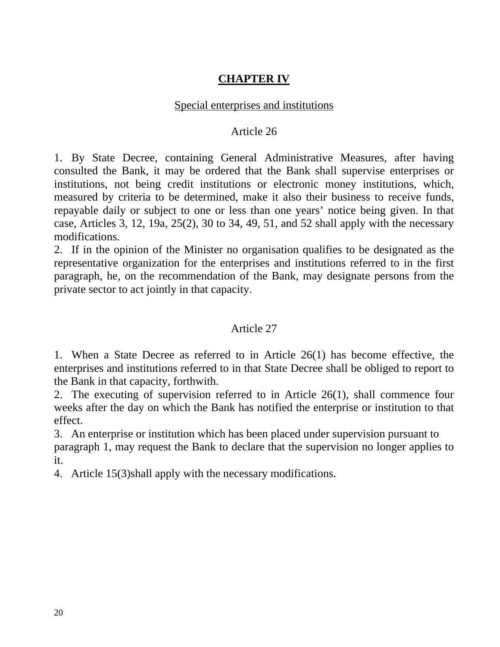# **CHAPTER IV**

# Special enterprises and institutions

## Article 26

1. By State Decree, containing General Administrative Measures, after having consulted the Bank, it may be ordered that the Bank shall supervise enterprises or institutions, not being credit institutions or electronic money institutions, which, measured by criteria to be determined, make it also their business to receive funds, repayable daily or subject to one or less than one years' notice being given. In that case, Articles 3, 12, 19a, 25(2), 30 to 34, 49, 51, and 52 shall apply with the necessary modifications.

2. If in the opinion of the Minister no organisation qualifies to be designated as the representative organization for the enterprises and institutions referred to in the first paragraph, he, on the recommendation of the Bank, may designate persons from the private sector to act jointly in that capacity.

# Article 27

1. When a State Decree as referred to in Article 26(1) has become effective, the enterprises and institutions referred to in that State Decree shall be obliged to report to the Bank in that capacity, forthwith.

2. The executing of supervision referred to in Article 26(1), shall commence four weeks after the day on which the Bank has notified the enterprise or institution to that effect.

3. An enterprise or institution which has been placed under supervision pursuant to paragraph 1, may request the Bank to declare that the supervision no longer applies to it.

4. Article 15(3)shall apply with the necessary modifications.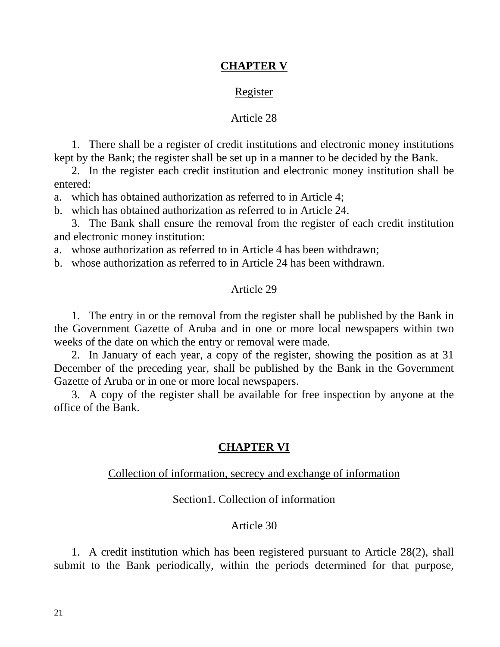## **CHAPTER V**

#### Register

#### Article 28

 1. There shall be a register of credit institutions and electronic money institutions kept by the Bank; the register shall be set up in a manner to be decided by the Bank.

 2. In the register each credit institution and electronic money institution shall be entered:

a. which has obtained authorization as referred to in Article 4;

b. which has obtained authorization as referred to in Article 24.

 3. The Bank shall ensure the removal from the register of each credit institution and electronic money institution:

a. whose authorization as referred to in Article 4 has been withdrawn;

b. whose authorization as referred to in Article 24 has been withdrawn.

#### Article 29

 1. The entry in or the removal from the register shall be published by the Bank in the Government Gazette of Aruba and in one or more local newspapers within two weeks of the date on which the entry or removal were made.

 2. In January of each year, a copy of the register, showing the position as at 31 December of the preceding year, shall be published by the Bank in the Government Gazette of Aruba or in one or more local newspapers.

 3. A copy of the register shall be available for free inspection by anyone at the office of the Bank.

### **CHAPTER VI**

## Collection of information, secrecy and exchange of information

### Section1. Collection of information

#### Article 30

 1. A credit institution which has been registered pursuant to Article 28(2), shall submit to the Bank periodically, within the periods determined for that purpose,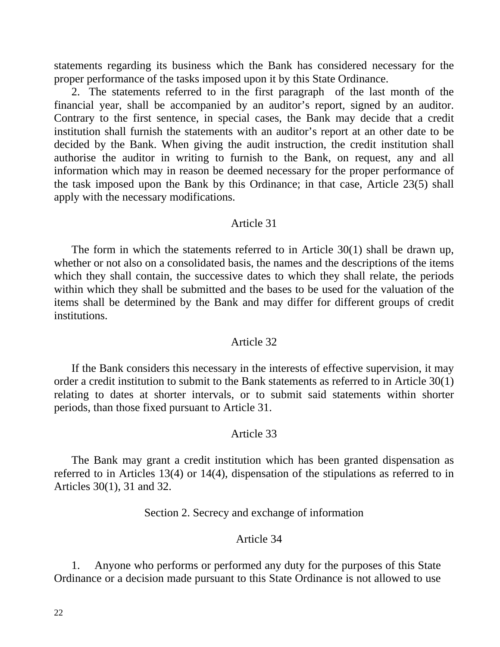statements regarding its business which the Bank has considered necessary for the proper performance of the tasks imposed upon it by this State Ordinance.

 2. The statements referred to in the first paragraph of the last month of the financial year, shall be accompanied by an auditor's report, signed by an auditor. Contrary to the first sentence, in special cases, the Bank may decide that a credit institution shall furnish the statements with an auditor's report at an other date to be decided by the Bank. When giving the audit instruction, the credit institution shall authorise the auditor in writing to furnish to the Bank, on request, any and all information which may in reason be deemed necessary for the proper performance of the task imposed upon the Bank by this Ordinance; in that case, Article 23(5) shall apply with the necessary modifications.

#### Article 31

 The form in which the statements referred to in Article 30(1) shall be drawn up, whether or not also on a consolidated basis, the names and the descriptions of the items which they shall contain, the successive dates to which they shall relate, the periods within which they shall be submitted and the bases to be used for the valuation of the items shall be determined by the Bank and may differ for different groups of credit institutions.

#### Article 32

 If the Bank considers this necessary in the interests of effective supervision, it may order a credit institution to submit to the Bank statements as referred to in Article 30(1) relating to dates at shorter intervals, or to submit said statements within shorter periods, than those fixed pursuant to Article 31.

#### Article 33

 The Bank may grant a credit institution which has been granted dispensation as referred to in Articles 13(4) or 14(4), dispensation of the stipulations as referred to in Articles 30(1), 31 and 32.

Section 2. Secrecy and exchange of information

#### Article 34

 1. Anyone who performs or performed any duty for the purposes of this State Ordinance or a decision made pursuant to this State Ordinance is not allowed to use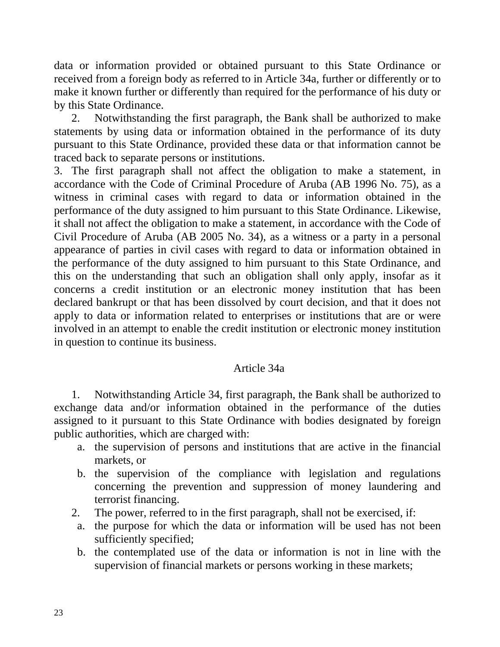data or information provided or obtained pursuant to this State Ordinance or received from a foreign body as referred to in Article 34a, further or differently or to make it known further or differently than required for the performance of his duty or by this State Ordinance.

 2. Notwithstanding the first paragraph, the Bank shall be authorized to make statements by using data or information obtained in the performance of its duty pursuant to this State Ordinance, provided these data or that information cannot be traced back to separate persons or institutions.

3. The first paragraph shall not affect the obligation to make a statement, in accordance with the Code of Criminal Procedure of Aruba (AB 1996 No. 75), as a witness in criminal cases with regard to data or information obtained in the performance of the duty assigned to him pursuant to this State Ordinance. Likewise, it shall not affect the obligation to make a statement, in accordance with the Code of Civil Procedure of Aruba (AB 2005 No. 34), as a witness or a party in a personal appearance of parties in civil cases with regard to data or information obtained in the performance of the duty assigned to him pursuant to this State Ordinance, and this on the understanding that such an obligation shall only apply, insofar as it concerns a credit institution or an electronic money institution that has been declared bankrupt or that has been dissolved by court decision, and that it does not apply to data or information related to enterprises or institutions that are or were involved in an attempt to enable the credit institution or electronic money institution in question to continue its business.

## Article 34a

 1. Notwithstanding Article 34, first paragraph, the Bank shall be authorized to exchange data and/or information obtained in the performance of the duties assigned to it pursuant to this State Ordinance with bodies designated by foreign public authorities, which are charged with:

- a. the supervision of persons and institutions that are active in the financial markets, or
- b. the supervision of the compliance with legislation and regulations concerning the prevention and suppression of money laundering and terrorist financing.
- 2. The power, referred to in the first paragraph, shall not be exercised, if:
- a. the purpose for which the data or information will be used has not been sufficiently specified;
- b. the contemplated use of the data or information is not in line with the supervision of financial markets or persons working in these markets;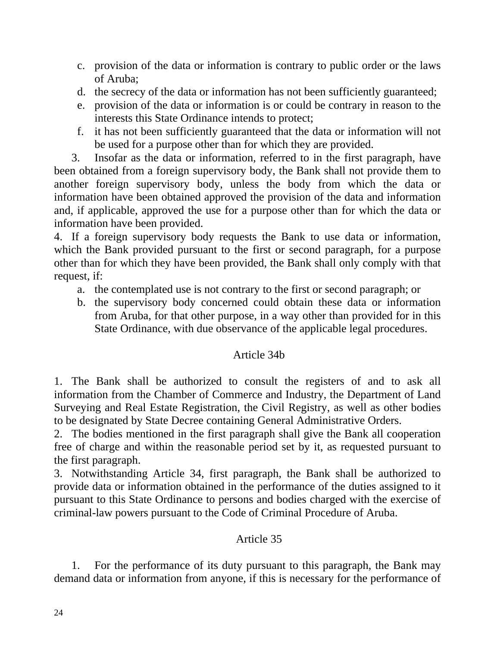- c. provision of the data or information is contrary to public order or the laws of Aruba;
- d. the secrecy of the data or information has not been sufficiently guaranteed;
- e. provision of the data or information is or could be contrary in reason to the interests this State Ordinance intends to protect;
- f. it has not been sufficiently guaranteed that the data or information will not be used for a purpose other than for which they are provided.

 3. Insofar as the data or information, referred to in the first paragraph, have been obtained from a foreign supervisory body, the Bank shall not provide them to another foreign supervisory body, unless the body from which the data or information have been obtained approved the provision of the data and information and, if applicable, approved the use for a purpose other than for which the data or information have been provided.

4. If a foreign supervisory body requests the Bank to use data or information, which the Bank provided pursuant to the first or second paragraph, for a purpose other than for which they have been provided, the Bank shall only comply with that request, if:

- a. the contemplated use is not contrary to the first or second paragraph; or
- b. the supervisory body concerned could obtain these data or information from Aruba, for that other purpose, in a way other than provided for in this State Ordinance, with due observance of the applicable legal procedures.

# Article 34b

1. The Bank shall be authorized to consult the registers of and to ask all information from the Chamber of Commerce and Industry, the Department of Land Surveying and Real Estate Registration, the Civil Registry, as well as other bodies to be designated by State Decree containing General Administrative Orders.

2. The bodies mentioned in the first paragraph shall give the Bank all cooperation free of charge and within the reasonable period set by it, as requested pursuant to the first paragraph.

3. Notwithstanding Article 34, first paragraph, the Bank shall be authorized to provide data or information obtained in the performance of the duties assigned to it pursuant to this State Ordinance to persons and bodies charged with the exercise of criminal-law powers pursuant to the Code of Criminal Procedure of Aruba.

# Article 35

 1. For the performance of its duty pursuant to this paragraph, the Bank may demand data or information from anyone, if this is necessary for the performance of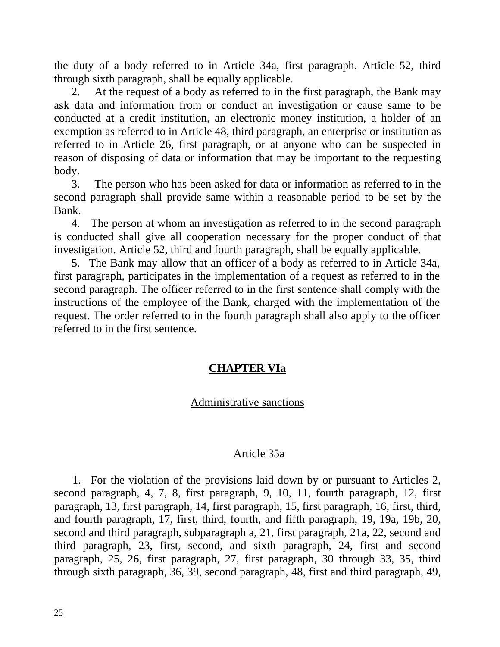the duty of a body referred to in Article 34a, first paragraph. Article 52, third through sixth paragraph, shall be equally applicable.

 2. At the request of a body as referred to in the first paragraph, the Bank may ask data and information from or conduct an investigation or cause same to be conducted at a credit institution, an electronic money institution, a holder of an exemption as referred to in Article 48, third paragraph, an enterprise or institution as referred to in Article 26, first paragraph, or at anyone who can be suspected in reason of disposing of data or information that may be important to the requesting body.

 3. The person who has been asked for data or information as referred to in the second paragraph shall provide same within a reasonable period to be set by the Bank.

 4. The person at whom an investigation as referred to in the second paragraph is conducted shall give all cooperation necessary for the proper conduct of that investigation. Article 52, third and fourth paragraph, shall be equally applicable.

 5. The Bank may allow that an officer of a body as referred to in Article 34a, first paragraph, participates in the implementation of a request as referred to in the second paragraph. The officer referred to in the first sentence shall comply with the instructions of the employee of the Bank, charged with the implementation of the request. The order referred to in the fourth paragraph shall also apply to the officer referred to in the first sentence.

# **CHAPTER VIa**

# Administrative sanctions

## Article 35a

 1. For the violation of the provisions laid down by or pursuant to Articles 2, second paragraph, 4, 7, 8, first paragraph, 9, 10, 11, fourth paragraph, 12, first paragraph, 13, first paragraph, 14, first paragraph, 15, first paragraph, 16, first, third, and fourth paragraph, 17, first, third, fourth, and fifth paragraph, 19, 19a, 19b, 20, second and third paragraph, subparagraph a, 21, first paragraph, 21a, 22, second and third paragraph, 23, first, second, and sixth paragraph, 24, first and second paragraph, 25, 26, first paragraph, 27, first paragraph, 30 through 33, 35, third through sixth paragraph, 36, 39, second paragraph, 48, first and third paragraph, 49,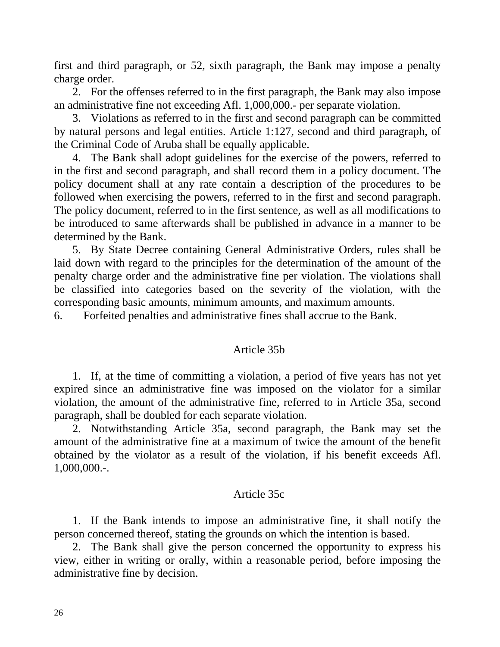first and third paragraph, or 52, sixth paragraph, the Bank may impose a penalty charge order.

 2. For the offenses referred to in the first paragraph, the Bank may also impose an administrative fine not exceeding Afl. 1,000,000.- per separate violation.

 3. Violations as referred to in the first and second paragraph can be committed by natural persons and legal entities. Article 1:127, second and third paragraph, of the Criminal Code of Aruba shall be equally applicable.

 4. The Bank shall adopt guidelines for the exercise of the powers, referred to in the first and second paragraph, and shall record them in a policy document. The policy document shall at any rate contain a description of the procedures to be followed when exercising the powers, referred to in the first and second paragraph. The policy document, referred to in the first sentence, as well as all modifications to be introduced to same afterwards shall be published in advance in a manner to be determined by the Bank.

 5. By State Decree containing General Administrative Orders, rules shall be laid down with regard to the principles for the determination of the amount of the penalty charge order and the administrative fine per violation. The violations shall be classified into categories based on the severity of the violation, with the corresponding basic amounts, minimum amounts, and maximum amounts.

6. Forfeited penalties and administrative fines shall accrue to the Bank.

## Article 35b

 1. If, at the time of committing a violation, a period of five years has not yet expired since an administrative fine was imposed on the violator for a similar violation, the amount of the administrative fine, referred to in Article 35a, second paragraph, shall be doubled for each separate violation.

 2. Notwithstanding Article 35a, second paragraph, the Bank may set the amount of the administrative fine at a maximum of twice the amount of the benefit obtained by the violator as a result of the violation, if his benefit exceeds Afl. 1,000,000.-.

#### Article 35c

 1. If the Bank intends to impose an administrative fine, it shall notify the person concerned thereof, stating the grounds on which the intention is based.

 2. The Bank shall give the person concerned the opportunity to express his view, either in writing or orally, within a reasonable period, before imposing the administrative fine by decision.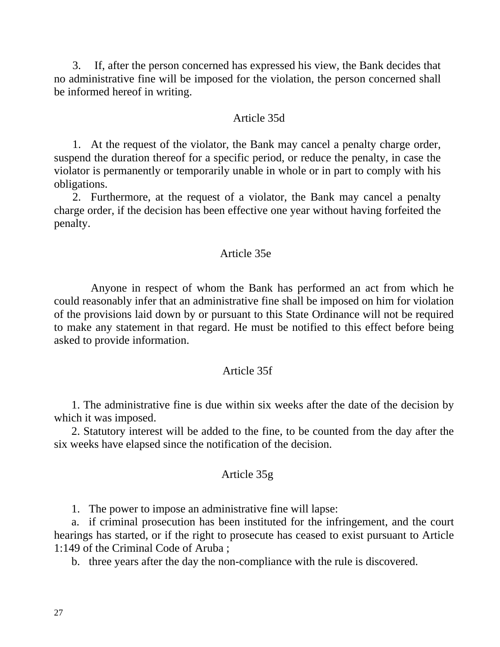3. If, after the person concerned has expressed his view, the Bank decides that no administrative fine will be imposed for the violation, the person concerned shall be informed hereof in writing.

#### Article 35d

 1. At the request of the violator, the Bank may cancel a penalty charge order, suspend the duration thereof for a specific period, or reduce the penalty, in case the violator is permanently or temporarily unable in whole or in part to comply with his obligations.

 2. Furthermore, at the request of a violator, the Bank may cancel a penalty charge order, if the decision has been effective one year without having forfeited the penalty.

#### Article 35e

 Anyone in respect of whom the Bank has performed an act from which he could reasonably infer that an administrative fine shall be imposed on him for violation of the provisions laid down by or pursuant to this State Ordinance will not be required to make any statement in that regard. He must be notified to this effect before being asked to provide information.

#### Article 35f

 1. The administrative fine is due within six weeks after the date of the decision by which it was imposed.

 2. Statutory interest will be added to the fine, to be counted from the day after the six weeks have elapsed since the notification of the decision.

#### Article 35g

1. The power to impose an administrative fine will lapse:

 a. if criminal prosecution has been instituted for the infringement, and the court hearings has started, or if the right to prosecute has ceased to exist pursuant to Article 1:149 of the Criminal Code of Aruba ;

b. three years after the day the non-compliance with the rule is discovered.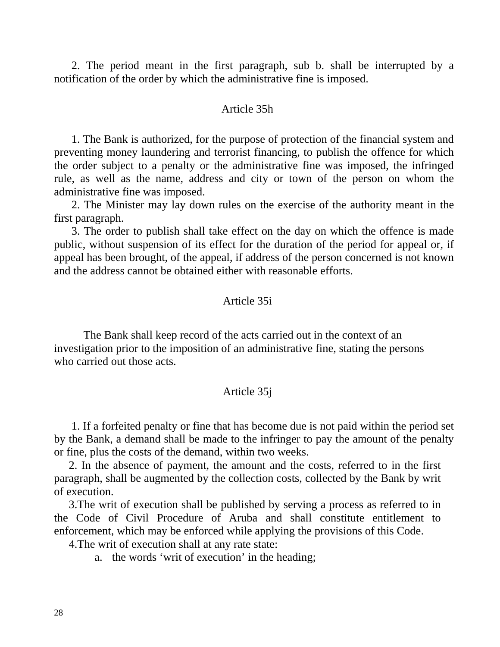2. The period meant in the first paragraph, sub b. shall be interrupted by a notification of the order by which the administrative fine is imposed.

#### Article 35h

 1. The Bank is authorized, for the purpose of protection of the financial system and preventing money laundering and terrorist financing, to publish the offence for which the order subject to a penalty or the administrative fine was imposed, the infringed rule, as well as the name, address and city or town of the person on whom the administrative fine was imposed.

 2. The Minister may lay down rules on the exercise of the authority meant in the first paragraph.

 3. The order to publish shall take effect on the day on which the offence is made public, without suspension of its effect for the duration of the period for appeal or, if appeal has been brought, of the appeal, if address of the person concerned is not known and the address cannot be obtained either with reasonable efforts.

#### Article 35i

 The Bank shall keep record of the acts carried out in the context of an investigation prior to the imposition of an administrative fine, stating the persons who carried out those acts.

#### Article 35j

 1. If a forfeited penalty or fine that has become due is not paid within the period set by the Bank, a demand shall be made to the infringer to pay the amount of the penalty or fine, plus the costs of the demand, within two weeks.

2. In the absence of payment, the amount and the costs, referred to in the first paragraph, shall be augmented by the collection costs, collected by the Bank by writ of execution.

3.The writ of execution shall be published by serving a process as referred to in the Code of Civil Procedure of Aruba and shall constitute entitlement to enforcement, which may be enforced while applying the provisions of this Code.

4.The writ of execution shall at any rate state:

a. the words 'writ of execution' in the heading;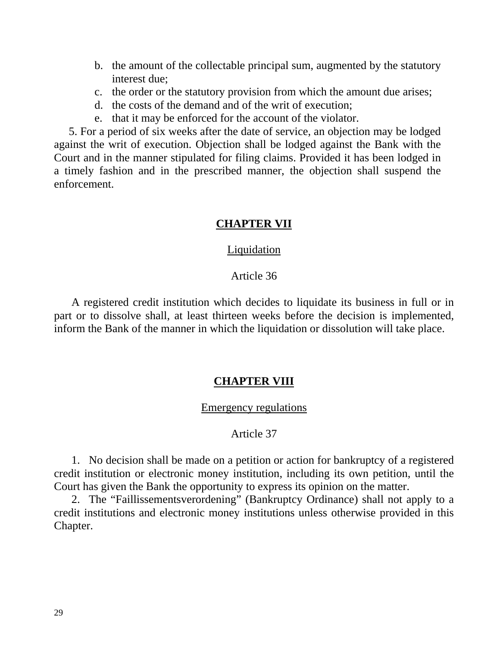- b. the amount of the collectable principal sum, augmented by the statutory interest due;
- c. the order or the statutory provision from which the amount due arises;
- d. the costs of the demand and of the writ of execution;
- e. that it may be enforced for the account of the violator.

5. For a period of six weeks after the date of service, an objection may be lodged against the writ of execution. Objection shall be lodged against the Bank with the Court and in the manner stipulated for filing claims. Provided it has been lodged in a timely fashion and in the prescribed manner, the objection shall suspend the enforcement.

## **CHAPTER VII**

#### **Liquidation**

### Article 36

 A registered credit institution which decides to liquidate its business in full or in part or to dissolve shall, at least thirteen weeks before the decision is implemented, inform the Bank of the manner in which the liquidation or dissolution will take place.

#### **CHAPTER VIII**

#### Emergency regulations

#### Article 37

 1. No decision shall be made on a petition or action for bankruptcy of a registered credit institution or electronic money institution, including its own petition, until the Court has given the Bank the opportunity to express its opinion on the matter.

 2. The "Faillissementsverordening" (Bankruptcy Ordinance) shall not apply to a credit institutions and electronic money institutions unless otherwise provided in this Chapter.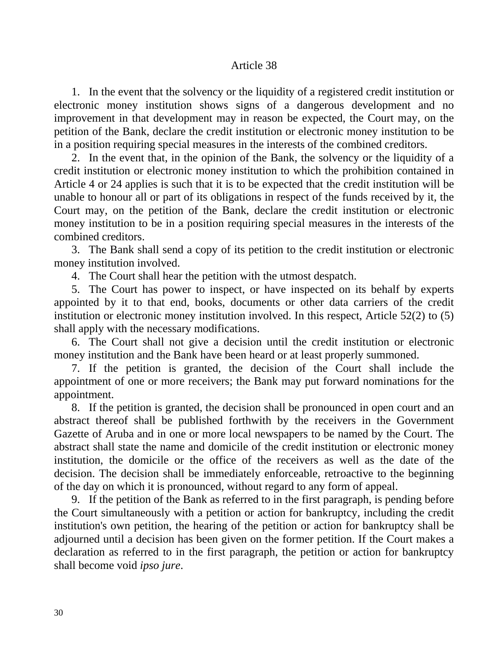### Article 38

 1. In the event that the solvency or the liquidity of a registered credit institution or electronic money institution shows signs of a dangerous development and no improvement in that development may in reason be expected, the Court may, on the petition of the Bank, declare the credit institution or electronic money institution to be in a position requiring special measures in the interests of the combined creditors.

 2. In the event that, in the opinion of the Bank, the solvency or the liquidity of a credit institution or electronic money institution to which the prohibition contained in Article 4 or 24 applies is such that it is to be expected that the credit institution will be unable to honour all or part of its obligations in respect of the funds received by it, the Court may, on the petition of the Bank, declare the credit institution or electronic money institution to be in a position requiring special measures in the interests of the combined creditors.

 3. The Bank shall send a copy of its petition to the credit institution or electronic money institution involved.

4. The Court shall hear the petition with the utmost despatch.

 5. The Court has power to inspect, or have inspected on its behalf by experts appointed by it to that end, books, documents or other data carriers of the credit institution or electronic money institution involved. In this respect, Article 52(2) to (5) shall apply with the necessary modifications.

 6. The Court shall not give a decision until the credit institution or electronic money institution and the Bank have been heard or at least properly summoned.

 7. If the petition is granted, the decision of the Court shall include the appointment of one or more receivers; the Bank may put forward nominations for the appointment.

 8. If the petition is granted, the decision shall be pronounced in open court and an abstract thereof shall be published forthwith by the receivers in the Government Gazette of Aruba and in one or more local newspapers to be named by the Court. The abstract shall state the name and domicile of the credit institution or electronic money institution, the domicile or the office of the receivers as well as the date of the decision. The decision shall be immediately enforceable, retroactive to the beginning of the day on which it is pronounced, without regard to any form of appeal.

 9. If the petition of the Bank as referred to in the first paragraph, is pending before the Court simultaneously with a petition or action for bankruptcy, including the credit institution's own petition, the hearing of the petition or action for bankruptcy shall be adjourned until a decision has been given on the former petition. If the Court makes a declaration as referred to in the first paragraph, the petition or action for bankruptcy shall become void *ipso jure*.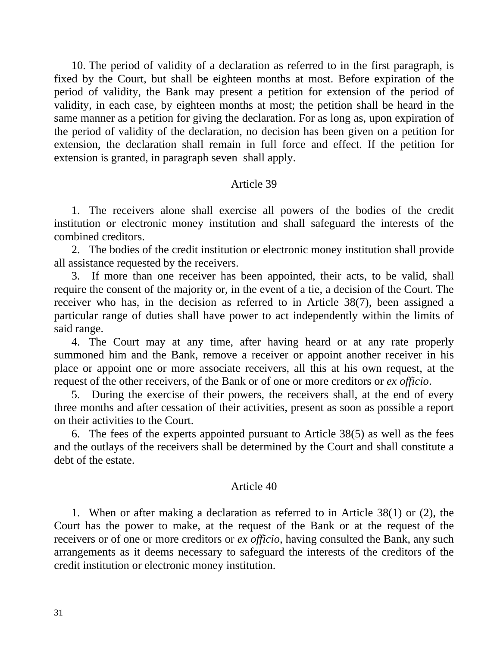10. The period of validity of a declaration as referred to in the first paragraph, is fixed by the Court, but shall be eighteen months at most. Before expiration of the period of validity, the Bank may present a petition for extension of the period of validity, in each case, by eighteen months at most; the petition shall be heard in the same manner as a petition for giving the declaration. For as long as, upon expiration of the period of validity of the declaration, no decision has been given on a petition for extension, the declaration shall remain in full force and effect. If the petition for extension is granted, in paragraph seven shall apply.

### Article 39

 1. The receivers alone shall exercise all powers of the bodies of the credit institution or electronic money institution and shall safeguard the interests of the combined creditors.

 2. The bodies of the credit institution or electronic money institution shall provide all assistance requested by the receivers.

 3. If more than one receiver has been appointed, their acts, to be valid, shall require the consent of the majority or, in the event of a tie, a decision of the Court. The receiver who has, in the decision as referred to in Article 38(7), been assigned a particular range of duties shall have power to act independently within the limits of said range.

 4. The Court may at any time, after having heard or at any rate properly summoned him and the Bank, remove a receiver or appoint another receiver in his place or appoint one or more associate receivers, all this at his own request, at the request of the other receivers, of the Bank or of one or more creditors or *ex officio*.

 5. During the exercise of their powers, the receivers shall, at the end of every three months and after cessation of their activities, present as soon as possible a report on their activities to the Court.

 6. The fees of the experts appointed pursuant to Article 38(5) as well as the fees and the outlays of the receivers shall be determined by the Court and shall constitute a debt of the estate.

#### Article 40

 1. When or after making a declaration as referred to in Article 38(1) or (2), the Court has the power to make, at the request of the Bank or at the request of the receivers or of one or more creditors or *ex officio*, having consulted the Bank, any such arrangements as it deems necessary to safeguard the interests of the creditors of the credit institution or electronic money institution.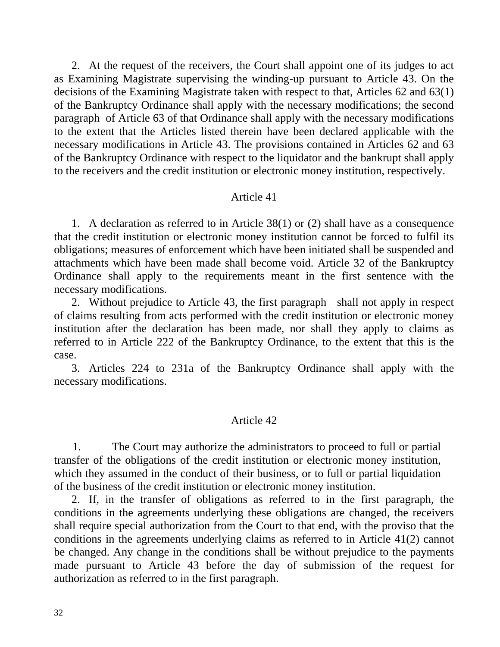2. At the request of the receivers, the Court shall appoint one of its judges to act as Examining Magistrate supervising the winding-up pursuant to Article 43. On the decisions of the Examining Magistrate taken with respect to that, Articles 62 and 63(1) of the Bankruptcy Ordinance shall apply with the necessary modifications; the second paragraph of Article 63 of that Ordinance shall apply with the necessary modifications to the extent that the Articles listed therein have been declared applicable with the necessary modifications in Article 43. The provisions contained in Articles 62 and 63 of the Bankruptcy Ordinance with respect to the liquidator and the bankrupt shall apply to the receivers and the credit institution or electronic money institution, respectively.

#### Article 41

 1. A declaration as referred to in Article 38(1) or (2) shall have as a consequence that the credit institution or electronic money institution cannot be forced to fulfil its obligations; measures of enforcement which have been initiated shall be suspended and attachments which have been made shall become void. Article 32 of the Bankruptcy Ordinance shall apply to the requirements meant in the first sentence with the necessary modifications.

 2. Without prejudice to Article 43, the first paragraph shall not apply in respect of claims resulting from acts performed with the credit institution or electronic money institution after the declaration has been made, nor shall they apply to claims as referred to in Article 222 of the Bankruptcy Ordinance, to the extent that this is the case.

 3. Articles 224 to 231a of the Bankruptcy Ordinance shall apply with the necessary modifications.

#### Article 42

 1. The Court may authorize the administrators to proceed to full or partial transfer of the obligations of the credit institution or electronic money institution, which they assumed in the conduct of their business, or to full or partial liquidation of the business of the credit institution or electronic money institution.

 2. If, in the transfer of obligations as referred to in the first paragraph, the conditions in the agreements underlying these obligations are changed, the receivers shall require special authorization from the Court to that end, with the proviso that the conditions in the agreements underlying claims as referred to in Article 41(2) cannot be changed. Any change in the conditions shall be without prejudice to the payments made pursuant to Article 43 before the day of submission of the request for authorization as referred to in the first paragraph.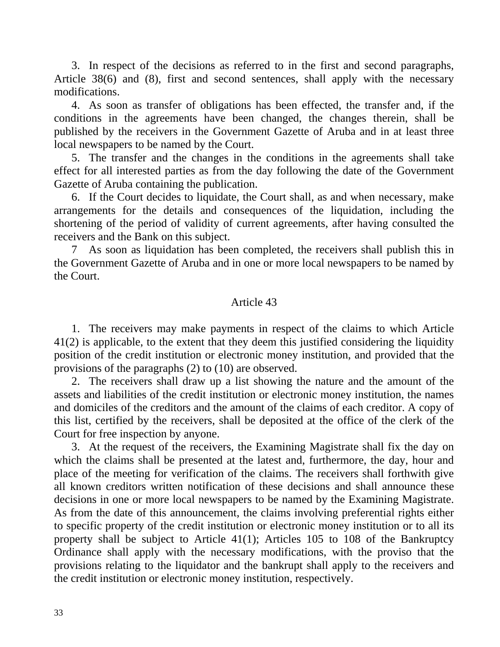3. In respect of the decisions as referred to in the first and second paragraphs, Article 38(6) and (8), first and second sentences, shall apply with the necessary modifications.

 4. As soon as transfer of obligations has been effected, the transfer and, if the conditions in the agreements have been changed, the changes therein, shall be published by the receivers in the Government Gazette of Aruba and in at least three local newspapers to be named by the Court.

 5. The transfer and the changes in the conditions in the agreements shall take effect for all interested parties as from the day following the date of the Government Gazette of Aruba containing the publication.

 6. If the Court decides to liquidate, the Court shall, as and when necessary, make arrangements for the details and consequences of the liquidation, including the shortening of the period of validity of current agreements, after having consulted the receivers and the Bank on this subject.

 7 As soon as liquidation has been completed, the receivers shall publish this in the Government Gazette of Aruba and in one or more local newspapers to be named by the Court.

## Article 43

 1. The receivers may make payments in respect of the claims to which Article 41(2) is applicable, to the extent that they deem this justified considering the liquidity position of the credit institution or electronic money institution, and provided that the provisions of the paragraphs (2) to (10) are observed.

 2. The receivers shall draw up a list showing the nature and the amount of the assets and liabilities of the credit institution or electronic money institution, the names and domiciles of the creditors and the amount of the claims of each creditor. A copy of this list, certified by the receivers, shall be deposited at the office of the clerk of the Court for free inspection by anyone.

 3. At the request of the receivers, the Examining Magistrate shall fix the day on which the claims shall be presented at the latest and, furthermore, the day, hour and place of the meeting for verification of the claims. The receivers shall forthwith give all known creditors written notification of these decisions and shall announce these decisions in one or more local newspapers to be named by the Examining Magistrate. As from the date of this announcement, the claims involving preferential rights either to specific property of the credit institution or electronic money institution or to all its property shall be subject to Article 41(1); Articles 105 to 108 of the Bankruptcy Ordinance shall apply with the necessary modifications, with the proviso that the provisions relating to the liquidator and the bankrupt shall apply to the receivers and the credit institution or electronic money institution, respectively.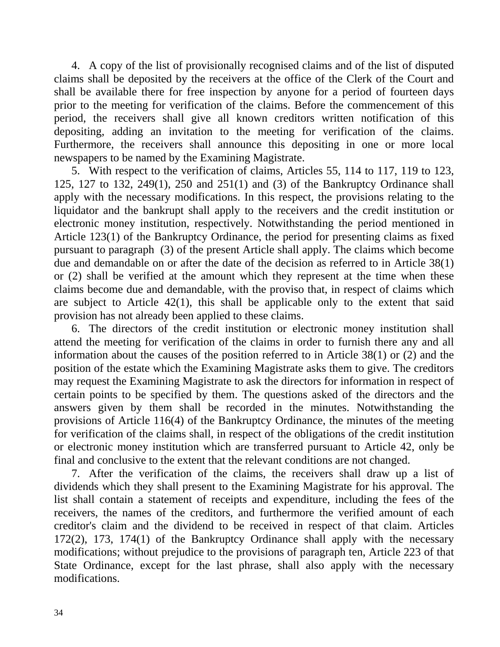4. A copy of the list of provisionally recognised claims and of the list of disputed claims shall be deposited by the receivers at the office of the Clerk of the Court and shall be available there for free inspection by anyone for a period of fourteen days prior to the meeting for verification of the claims. Before the commencement of this period, the receivers shall give all known creditors written notification of this depositing, adding an invitation to the meeting for verification of the claims. Furthermore, the receivers shall announce this depositing in one or more local newspapers to be named by the Examining Magistrate.

 5. With respect to the verification of claims, Articles 55, 114 to 117, 119 to 123, 125, 127 to 132, 249(1), 250 and 251(1) and (3) of the Bankruptcy Ordinance shall apply with the necessary modifications. In this respect, the provisions relating to the liquidator and the bankrupt shall apply to the receivers and the credit institution or electronic money institution, respectively. Notwithstanding the period mentioned in Article 123(1) of the Bankruptcy Ordinance, the period for presenting claims as fixed pursuant to paragraph (3) of the present Article shall apply. The claims which become due and demandable on or after the date of the decision as referred to in Article 38(1) or (2) shall be verified at the amount which they represent at the time when these claims become due and demandable, with the proviso that, in respect of claims which are subject to Article 42(1), this shall be applicable only to the extent that said provision has not already been applied to these claims.

 6. The directors of the credit institution or electronic money institution shall attend the meeting for verification of the claims in order to furnish there any and all information about the causes of the position referred to in Article 38(1) or (2) and the position of the estate which the Examining Magistrate asks them to give. The creditors may request the Examining Magistrate to ask the directors for information in respect of certain points to be specified by them. The questions asked of the directors and the answers given by them shall be recorded in the minutes. Notwithstanding the provisions of Article 116(4) of the Bankruptcy Ordinance, the minutes of the meeting for verification of the claims shall, in respect of the obligations of the credit institution or electronic money institution which are transferred pursuant to Article 42, only be final and conclusive to the extent that the relevant conditions are not changed.

 7. After the verification of the claims, the receivers shall draw up a list of dividends which they shall present to the Examining Magistrate for his approval. The list shall contain a statement of receipts and expenditure, including the fees of the receivers, the names of the creditors, and furthermore the verified amount of each creditor's claim and the dividend to be received in respect of that claim. Articles 172(2), 173, 174(1) of the Bankruptcy Ordinance shall apply with the necessary modifications; without prejudice to the provisions of paragraph ten, Article 223 of that State Ordinance, except for the last phrase, shall also apply with the necessary modifications.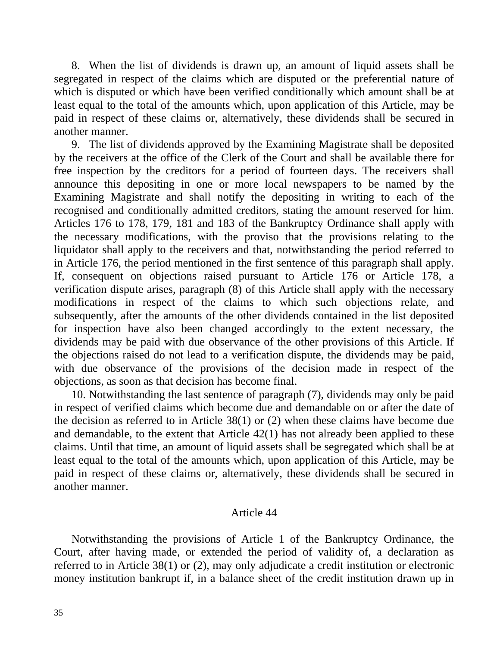8. When the list of dividends is drawn up, an amount of liquid assets shall be segregated in respect of the claims which are disputed or the preferential nature of which is disputed or which have been verified conditionally which amount shall be at least equal to the total of the amounts which, upon application of this Article, may be paid in respect of these claims or, alternatively, these dividends shall be secured in another manner.

 9. The list of dividends approved by the Examining Magistrate shall be deposited by the receivers at the office of the Clerk of the Court and shall be available there for free inspection by the creditors for a period of fourteen days. The receivers shall announce this depositing in one or more local newspapers to be named by the Examining Magistrate and shall notify the depositing in writing to each of the recognised and conditionally admitted creditors, stating the amount reserved for him. Articles 176 to 178, 179, 181 and 183 of the Bankruptcy Ordinance shall apply with the necessary modifications, with the proviso that the provisions relating to the liquidator shall apply to the receivers and that, notwithstanding the period referred to in Article 176, the period mentioned in the first sentence of this paragraph shall apply. If, consequent on objections raised pursuant to Article 176 or Article 178, a verification dispute arises, paragraph (8) of this Article shall apply with the necessary modifications in respect of the claims to which such objections relate, and subsequently, after the amounts of the other dividends contained in the list deposited for inspection have also been changed accordingly to the extent necessary, the dividends may be paid with due observance of the other provisions of this Article. If the objections raised do not lead to a verification dispute, the dividends may be paid, with due observance of the provisions of the decision made in respect of the objections, as soon as that decision has become final.

 10. Notwithstanding the last sentence of paragraph (7), dividends may only be paid in respect of verified claims which become due and demandable on or after the date of the decision as referred to in Article 38(1) or (2) when these claims have become due and demandable, to the extent that Article 42(1) has not already been applied to these claims. Until that time, an amount of liquid assets shall be segregated which shall be at least equal to the total of the amounts which, upon application of this Article, may be paid in respect of these claims or, alternatively, these dividends shall be secured in another manner.

#### Article 44

 Notwithstanding the provisions of Article 1 of the Bankruptcy Ordinance, the Court, after having made, or extended the period of validity of, a declaration as referred to in Article 38(1) or (2), may only adjudicate a credit institution or electronic money institution bankrupt if, in a balance sheet of the credit institution drawn up in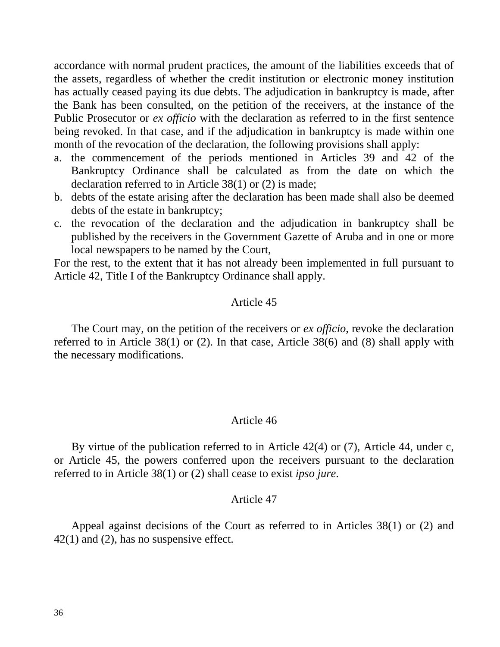accordance with normal prudent practices, the amount of the liabilities exceeds that of the assets, regardless of whether the credit institution or electronic money institution has actually ceased paying its due debts. The adjudication in bankruptcy is made, after the Bank has been consulted, on the petition of the receivers, at the instance of the Public Prosecutor or *ex officio* with the declaration as referred to in the first sentence being revoked. In that case, and if the adjudication in bankruptcy is made within one month of the revocation of the declaration, the following provisions shall apply:

- a. the commencement of the periods mentioned in Articles 39 and 42 of the Bankruptcy Ordinance shall be calculated as from the date on which the declaration referred to in Article 38(1) or (2) is made;
- b. debts of the estate arising after the declaration has been made shall also be deemed debts of the estate in bankruptcy;
- c. the revocation of the declaration and the adjudication in bankruptcy shall be published by the receivers in the Government Gazette of Aruba and in one or more local newspapers to be named by the Court,

For the rest, to the extent that it has not already been implemented in full pursuant to Article 42, Title I of the Bankruptcy Ordinance shall apply.

## Article 45

 The Court may, on the petition of the receivers or *ex officio*, revoke the declaration referred to in Article 38(1) or (2). In that case, Article 38(6) and (8) shall apply with the necessary modifications.

#### Article 46

 By virtue of the publication referred to in Article 42(4) or (7), Article 44, under c, or Article 45, the powers conferred upon the receivers pursuant to the declaration referred to in Article 38(1) or (2) shall cease to exist *ipso jure*.

#### Article 47

 Appeal against decisions of the Court as referred to in Articles 38(1) or (2) and 42(1) and (2), has no suspensive effect.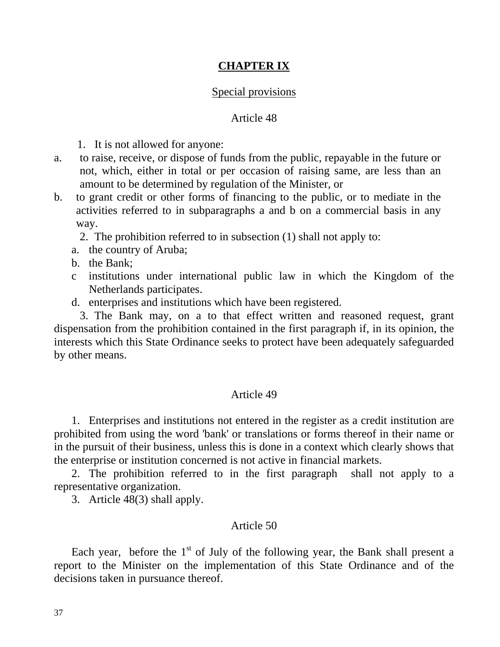# **CHAPTER IX**

## Special provisions

## Article 48

1. It is not allowed for anyone:

- a. to raise, receive, or dispose of funds from the public, repayable in the future or not, which, either in total or per occasion of raising same, are less than an amount to be determined by regulation of the Minister, or
- b. to grant credit or other forms of financing to the public, or to mediate in the activities referred to in subparagraphs a and b on a commercial basis in any way.

2. The prohibition referred to in subsection (1) shall not apply to:

- a. the country of Aruba;
- b. the Bank;
- c institutions under international public law in which the Kingdom of the Netherlands participates.
- d. enterprises and institutions which have been registered.

 3. The Bank may, on a to that effect written and reasoned request, grant dispensation from the prohibition contained in the first paragraph if, in its opinion, the interests which this State Ordinance seeks to protect have been adequately safeguarded by other means.

#### Article 49

 1. Enterprises and institutions not entered in the register as a credit institution are prohibited from using the word 'bank' or translations or forms thereof in their name or in the pursuit of their business, unless this is done in a context which clearly shows that the enterprise or institution concerned is not active in financial markets.

 2. The prohibition referred to in the first paragraph shall not apply to a representative organization.

3. Article 48(3) shall apply.

### Article 50

Each year, before the  $1<sup>st</sup>$  of July of the following year, the Bank shall present a report to the Minister on the implementation of this State Ordinance and of the decisions taken in pursuance thereof.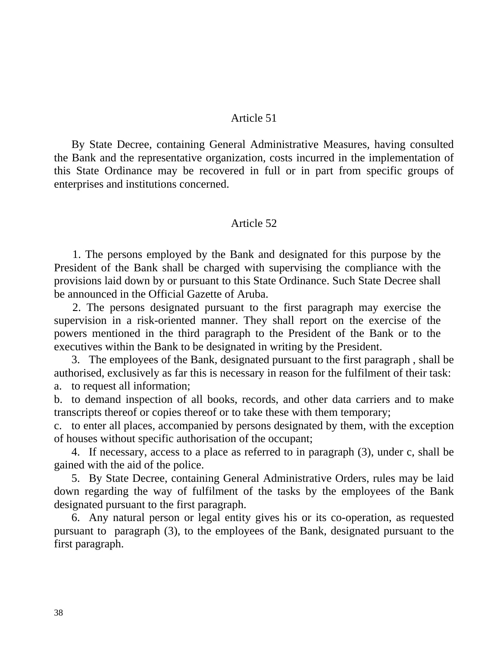### Article 51

 By State Decree, containing General Administrative Measures, having consulted the Bank and the representative organization, costs incurred in the implementation of this State Ordinance may be recovered in full or in part from specific groups of enterprises and institutions concerned.

### Article 52

 1. The persons employed by the Bank and designated for this purpose by the President of the Bank shall be charged with supervising the compliance with the provisions laid down by or pursuant to this State Ordinance. Such State Decree shall be announced in the Official Gazette of Aruba.

 2. The persons designated pursuant to the first paragraph may exercise the supervision in a risk-oriented manner. They shall report on the exercise of the powers mentioned in the third paragraph to the President of the Bank or to the executives within the Bank to be designated in writing by the President.

 3. The employees of the Bank, designated pursuant to the first paragraph , shall be authorised, exclusively as far this is necessary in reason for the fulfilment of their task: a. to request all information;

b. to demand inspection of all books, records, and other data carriers and to make transcripts thereof or copies thereof or to take these with them temporary;

c. to enter all places, accompanied by persons designated by them, with the exception of houses without specific authorisation of the occupant;

 4. If necessary, access to a place as referred to in paragraph (3), under c, shall be gained with the aid of the police.

 5. By State Decree, containing General Administrative Orders, rules may be laid down regarding the way of fulfilment of the tasks by the employees of the Bank designated pursuant to the first paragraph.

 6. Any natural person or legal entity gives his or its co-operation, as requested pursuant to paragraph (3), to the employees of the Bank, designated pursuant to the first paragraph.